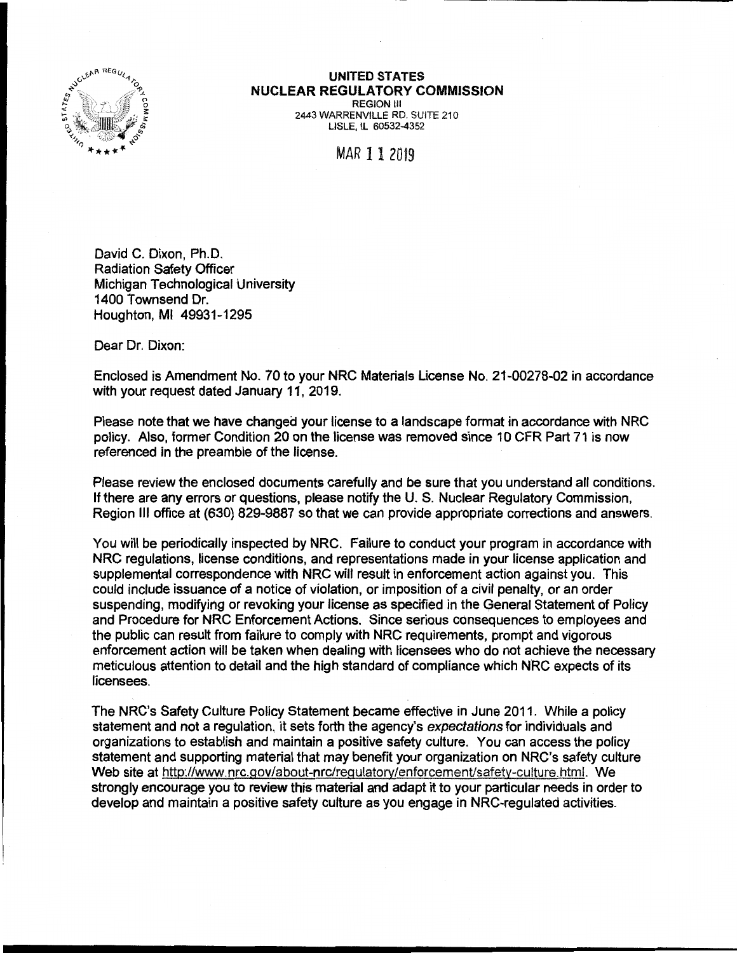

## **UNITED STATES NUCLEAR REGULATORY COMMISSION**  REGION Ill

2443 WARRENVILLE RD. SUITE 210 LISLE, IL 60532-4352

MAR 11 2019

David C. Dixon, Ph.D. Radiation Safety Officer Michigan Technological University 1400 Townsend Dr. Houghton, Ml 49931-1295

Dear Dr. Dixon:

Enclosed is Amendment No. 70 to your NRC Materials License No. 21-00278-02 in accordance with your request dated January 11, 2019.

Please note that we have changed your license to a landscape format in accordance with NRC policy. Also, former Condition 20 on the license was removed since 10 CFR Part 71 is now referenced in the preamble of the license.

Please review the enclosed documents carefully and be sure that you understand all conditions. If there are any errors or questions, please notify the U. S. Nuclear Regulatory Commission, Region Ill office at (630) 829-9887 so that we can provide appropriate corrections and answers.

You wifl be periodically inspected by NRC. Failure to conduct your program in accordance with NRC regulations, license conditions, and representations made in your license application and supplemental correspondence with NRC will result in enforcement action against you. This could include issuance of a notice of violation, or imposition of a civil penalty, or an order suspending, modifying or revoking your license as specified in the General Statement of Policy and Procedure for NRC Enforcement Actions. Since serious consequences to employees and the public can result from failure to comply with NRC requirements, prompt and vigorous enforcement action will be taken when dealing with licensees who do not achieve the necessary meticulous attention to detail and the high standard of compliance which NRC expects of its licensees.

The NRC's Safety Culture Policy Statement became effective in June 2011. While a policy statement and not a regulation, it sets forth the agency's expectations for individuals and organizations to establish and maintain a positive safety culture. You can access the policy statement and supporting material that may benefit your organization on NRC's safety culture Web site at http://www.nrc.gov/about-nrc/regulatory/enforcement/safety-culture.html. We strongly encourage you to review this material and adapt it to your particular needs in order to develop and maintain a positive safety culture as you engage in NRG-regulated activities.